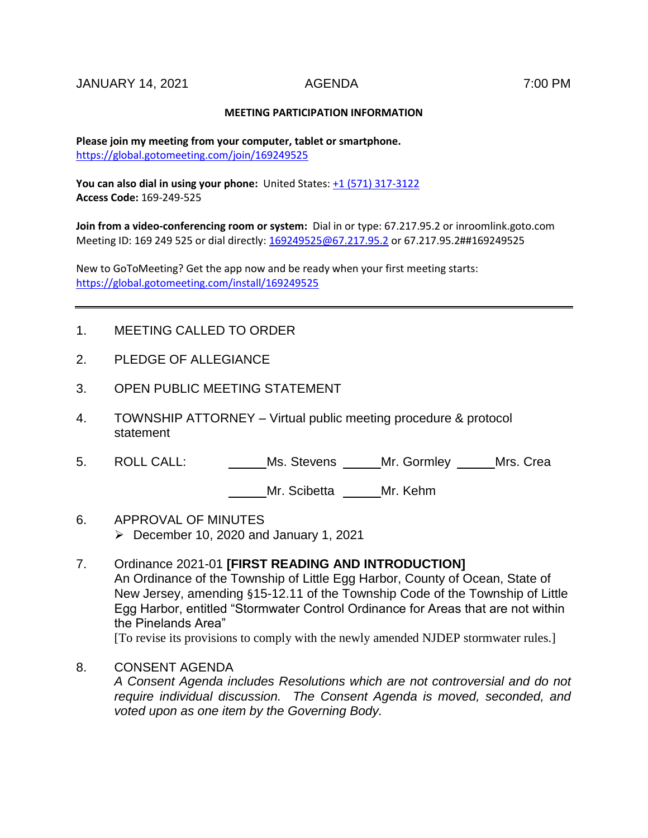## **MEETING PARTICIPATION INFORMATION**

**Please join my meeting from your computer, tablet or smartphone.**  <https://global.gotomeeting.com/join/169249525>

**You can also dial in using your phone:** United States[: +1 \(571\) 317-3122](tel:+15713173122,,169249525) **Access Code:** 169-249-525

**Join from a video-conferencing room or system:** Dial in or type: 67.217.95.2 or inroomlink.goto.com Meeting ID: 169 249 525 or dial directly: [169249525@67.217.95.2](mailto:169249525@67.217.95.2) or 67.217.95.2##169249525

New to GoToMeeting? Get the app now and be ready when your first meeting starts: <https://global.gotomeeting.com/install/169249525>

- 1. MEETING CALLED TO ORDER
- 2. PLEDGE OF ALLEGIANCE
- 3. OPEN PUBLIC MEETING STATEMENT
- 4. TOWNSHIP ATTORNEY Virtual public meeting procedure & protocol statement
- 5. ROLL CALL: Ms. Stevens Mr. Gormley Mrs. Crea

Mr. Scibetta Mr. Kehm

- 6. APPROVAL OF MINUTES  $\triangleright$  December 10, 2020 and January 1, 2021
- 7. Ordinance 2021-01 **[FIRST READING AND INTRODUCTION]** An Ordinance of the Township of Little Egg Harbor, County of Ocean, State of New Jersey, amending §15-12.11 of the Township Code of the Township of Little Egg Harbor, entitled "Stormwater Control Ordinance for Areas that are not within the Pinelands Area" [To revise its provisions to comply with the newly amended NJDEP stormwater rules.]
- 8. CONSENT AGENDA

*A Consent Agenda includes Resolutions which are not controversial and do not require individual discussion. The Consent Agenda is moved, seconded, and voted upon as one item by the Governing Body.*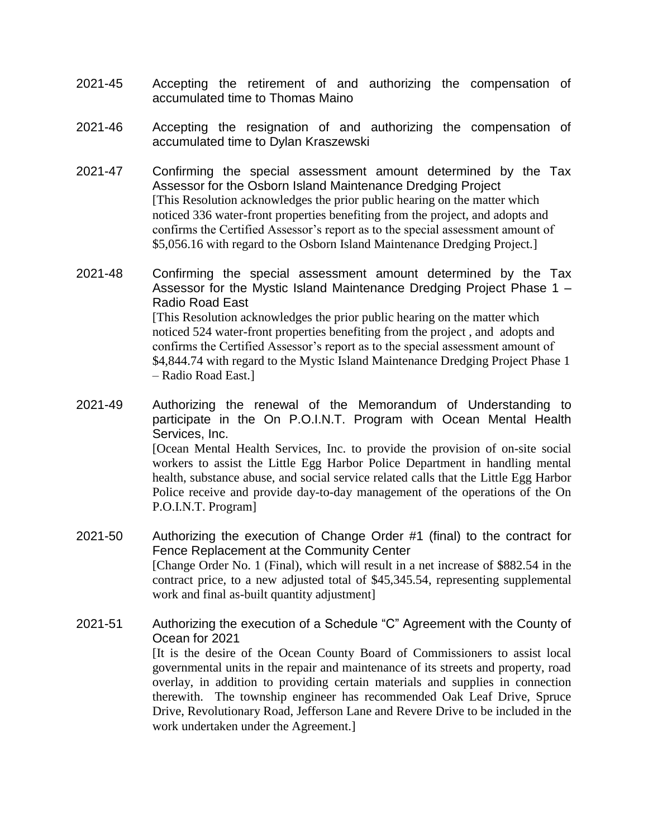- 2021-45 Accepting the retirement of and authorizing the compensation of accumulated time to Thomas Maino
- 2021-46 Accepting the resignation of and authorizing the compensation of accumulated time to Dylan Kraszewski
- 2021-47 Confirming the special assessment amount determined by the Tax Assessor for the Osborn Island Maintenance Dredging Project [This Resolution acknowledges the prior public hearing on the matter which noticed 336 water-front properties benefiting from the project, and adopts and confirms the Certified Assessor's report as to the special assessment amount of \$5,056.16 with regard to the Osborn Island Maintenance Dredging Project.]
- 2021-48 Confirming the special assessment amount determined by the Tax Assessor for the Mystic Island Maintenance Dredging Project Phase 1 – Radio Road East [This Resolution acknowledges the prior public hearing on the matter which noticed 524 water-front properties benefiting from the project , and adopts and confirms the Certified Assessor's report as to the special assessment amount of \$4,844.74 with regard to the Mystic Island Maintenance Dredging Project Phase 1 – Radio Road East.]
- 2021-49 Authorizing the renewal of the Memorandum of Understanding to participate in the On P.O.I.N.T. Program with Ocean Mental Health Services, Inc. [Ocean Mental Health Services, Inc. to provide the provision of on-site social workers to assist the Little Egg Harbor Police Department in handling mental health, substance abuse, and social service related calls that the Little Egg Harbor Police receive and provide day-to-day management of the operations of the On P.O.I.N.T. Program]
- 2021-50 Authorizing the execution of Change Order #1 (final) to the contract for Fence Replacement at the Community Center [Change Order No. 1 (Final), which will result in a net increase of \$882.54 in the contract price, to a new adjusted total of \$45,345.54, representing supplemental work and final as-built quantity adjustment]
- 2021-51 Authorizing the execution of a Schedule "C" Agreement with the County of Ocean for 2021 [It is the desire of the Ocean County Board of Commissioners to assist local governmental units in the repair and maintenance of its streets and property, road overlay, in addition to providing certain materials and supplies in connection therewith. The township engineer has recommended Oak Leaf Drive, Spruce Drive, Revolutionary Road, Jefferson Lane and Revere Drive to be included in the work undertaken under the Agreement.]